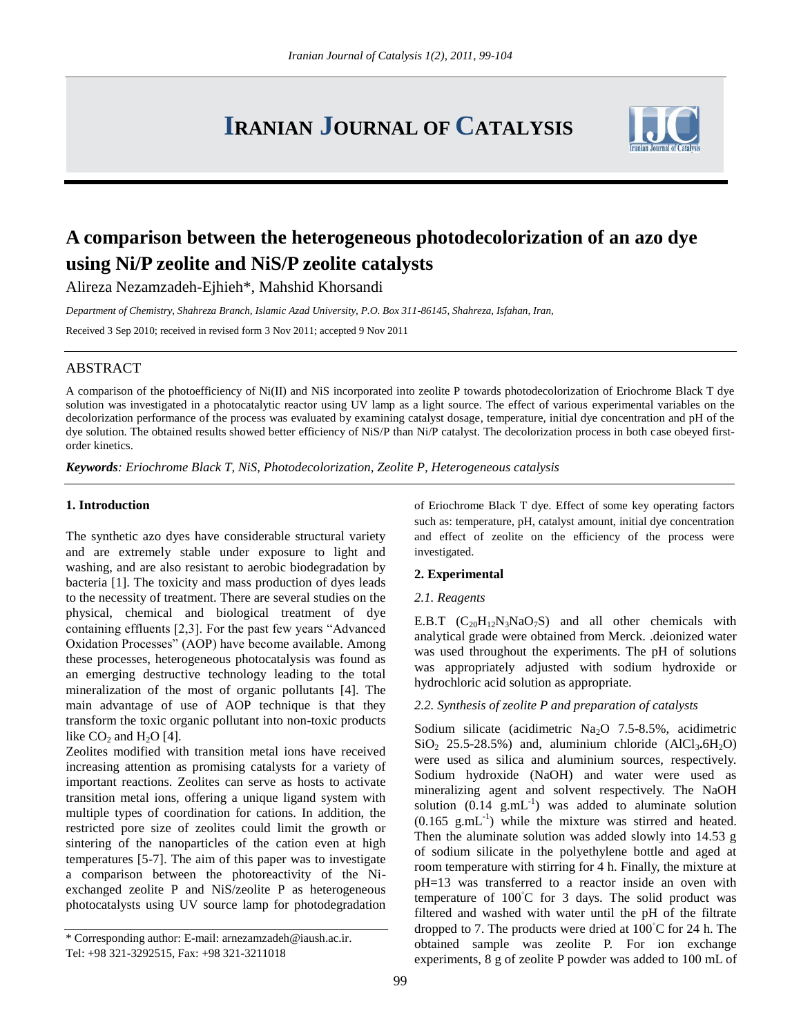# **IRANIAN JOURNAL OF CATALYSIS**



## **A comparison between the heterogeneous photodecolorization of an azo dye using Ni/P zeolite and NiS/P zeolite catalysts**

Alireza Nezamzadeh-Ejhieh\*, Mahshid Khorsandi

*Department of Chemistry, Shahreza Branch, Islamic Azad University, P.O. Box 311-86145, Shahreza, Isfahan, Iran,* 

Received 3 Sep 2010; received in revised form 3 Nov 2011; accepted 9 Nov 2011

## ABSTRACT

A comparison of the photoefficiency of Ni(II) and NiS incorporated into zeolite P towards photodecolorization of Eriochrome Black T dye solution was investigated in a photocatalytic reactor using UV lamp as a light source. The effect of various experimental variables on the decolorization performance of the process was evaluated by examining catalyst dosage, temperature, initial dye concentration and pH of the dye solution. The obtained results showed better efficiency of NiS/P than Ni/P catalyst. The decolorization process in both case obeyed firstorder kinetics.

*Keywords: Eriochrome Black T, NiS, Photodecolorization, Zeolite P, Heterogeneous catalysis*

#### **1. Introduction**

The synthetic azo dyes have considerable structural variety and are extremely stable under exposure to light and washing, and are also resistant to aerobic biodegradation by bacteria [1]. The toxicity and mass production of dyes leads to the necessity of treatment. There are several studies on the physical, chemical and biological treatment of dye containing effluents [2,3]. For the past few years "Advanced Oxidation Processes" (AOP) have become available. Among these processes, heterogeneous photocatalysis was found as an emerging destructive technology leading to the total mineralization of the most of organic pollutants [4]. The main advantage of use of AOP technique is that they transform the toxic organic pollutant into non-toxic products like  $CO<sub>2</sub>$  and  $H<sub>2</sub>O$  [4].

Zeolites modified with transition metal ions have received increasing attention as promising catalysts for a variety of important reactions. Zeolites can serve as hosts to activate transition metal ions, offering a unique ligand system with multiple types of coordination for cations. In addition, the restricted pore size of zeolites could limit the growth or sintering of the nanoparticles of the cation even at high temperatures [5-7]. The aim of this paper was to investigate a comparison between the photoreactivity of the Niexchanged zeolite P and NiS/zeolite P as heterogeneous photocatalysts using UV source lamp for photodegradation

of Eriochrome Black T dye. Effect of some key operating factors such as: temperature, pH, catalyst amount, initial dye concentration and effect of zeolite on the efficiency of the process were investigated.

#### **2. Experimental**

#### *2.1. Reagents*

E.B.T  $(C_{20}H_1,N_3NaO_7S)$  and all other chemicals with analytical grade were obtained from Merck. .deionized water was used throughout the experiments. The pH of solutions was appropriately adjusted with sodium hydroxide or hydrochloric acid solution as appropriate.

## *2.2. Synthesis of zeolite P and preparation of catalysts*

Sodium silicate (acidimetric  $Na<sub>2</sub>O$  7.5-8.5%, acidimetric  $SiO<sub>2</sub>$  25.5-28.5%) and, aluminium chloride  $(AICl<sub>3</sub>.6H<sub>2</sub>O)$ were used as silica and aluminium sources, respectively. Sodium hydroxide (NaOH) and water were used as mineralizing agent and solvent respectively. The NaOH solution  $(0.14 \text{ g.mL}^{-1})$  was added to aluminate solution  $(0.165 \text{ g.mL}^{-1})$  while the mixture was stirred and heated. Then the aluminate solution was added slowly into 14.53 g of sodium silicate in the polyethylene bottle and aged at room temperature with stirring for 4 h. Finally, the mixture at pH=13 was transferred to a reactor inside an oven with temperature of 100℃ for 3 days. The solid product was filtered and washed with water until the pH of the filtrate dropped to 7. The products were dried at 100◦C for 24 h. The obtained sample was zeolite P. For ion exchange experiments, 8 g of zeolite P powder was added to 100 mL of

<sup>\*</sup> Corresponding author: E-mail: [arnezamzadeh@iaush.ac.ir.](mailto:arnezamzadeh@iaush.ac.ir)

Tel: +98 321-3292515, Fax: +98 321-3211018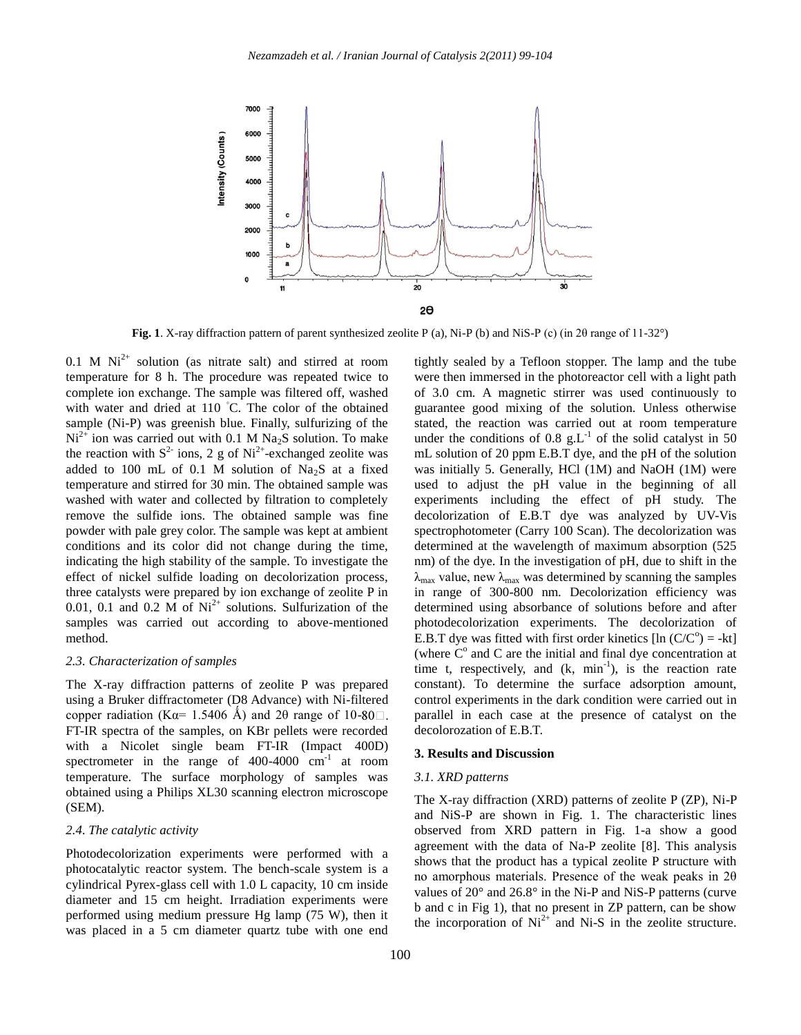

**Fig. 1**. X-ray diffraction pattern of parent synthesized zeolite P (a), Ni-P (b) and NiS-P (c) (in 2θ range of 11-32°)

0.1 M  $Ni<sup>2+</sup>$  solution (as nitrate salt) and stirred at room temperature for 8 h. The procedure was repeated twice to complete ion exchange. The sample was filtered off, washed with water and dried at 110 °C. The color of the obtained sample (Ni-P) was greenish blue. Finally, sulfurizing of the  $Ni<sup>2+</sup>$  ion was carried out with 0.1 M Na<sub>2</sub>S solution. To make the reaction with  $S^2$  ions, 2 g of  $Ni^{2+}$ -exchanged zeolite was added to 100 mL of 0.1 M solution of  $Na<sub>2</sub>S$  at a fixed temperature and stirred for 30 min. The obtained sample was washed with water and collected by filtration to completely remove the sulfide ions. The obtained sample was fine powder with pale grey color. The sample was kept at ambient conditions and its color did not change during the time, indicating the high stability of the sample. To investigate the effect of nickel sulfide loading on decolorization process, three catalysts were prepared by ion exchange of zeolite P in 0.01, 0.1 and 0.2 M of  $Ni<sup>2+</sup>$  solutions. Sulfurization of the samples was carried out according to above-mentioned method.

#### *2.3. Characterization of samples*

The X-ray diffraction patterns of zeolite P was prepared using a Bruker diffractometer (D8 Advance) with Ni-filtered copper radiation (K $\alpha$ = 1.5406 Å) and 2 $\theta$  range of 10-80 $\Box$ . FT-IR spectra of the samples, on KBr pellets were recorded with a Nicolet single beam FT-IR (Impact 400D) spectrometer in the range of  $400-4000$  cm<sup>-1</sup> at room temperature. The surface morphology of samples was obtained using a Philips XL30 scanning electron microscope (SEM).

#### *2.4. The catalytic activity*

Photodecolorization experiments were performed with a photocatalytic reactor system. The bench-scale system is a cylindrical Pyrex-glass cell with 1.0 L capacity, 10 cm inside diameter and 15 cm height. Irradiation experiments were performed using medium pressure Hg lamp (75 W), then it was placed in a 5 cm diameter quartz tube with one end tightly sealed by a Tefloon stopper. The lamp and the tube were then immersed in the photoreactor cell with a light path of 3.0 cm. A magnetic stirrer was used continuously to guarantee good mixing of the solution. Unless otherwise stated, the reaction was carried out at room temperature under the conditions of 0.8  $g.L^{-1}$  of the solid catalyst in 50 mL solution of 20 ppm E.B.T dye, and the pH of the solution was initially 5. Generally, HCl (1M) and NaOH (1M) were used to adjust the pH value in the beginning of all experiments including the effect of pH study. The decolorization of E.B.T dye was analyzed by UV-Vis spectrophotometer (Carry 100 Scan). The decolorization was determined at the wavelength of maximum absorption (525 nm) of the dye. In the investigation of pH, due to shift in the  $\lambda_{\text{max}}$  value, new  $\lambda_{\text{max}}$  was determined by scanning the samples in range of 300-800 nm. Decolorization efficiency was determined using absorbance of solutions before and after photodecolorization experiments. The decolorization of E.B.T dye was fitted with first order kinetics  $[\ln(C/C^{\circ}) = -kt]$ (where  $C<sup>o</sup>$  and C are the initial and final dye concentration at time t, respectively, and  $(k, min^{-1})$ , is the reaction rate constant). To determine the surface adsorption amount, control experiments in the dark condition were carried out in parallel in each case at the presence of catalyst on the decolorozation of E.B.T.

## **3. Results and Discussion**

#### *3.1. XRD patterns*

The X-ray diffraction (XRD) patterns of zeolite P (ZP), Ni-P and NiS-P are shown in Fig. 1. The characteristic lines observed from XRD pattern in Fig. 1-a show a good agreement with the data of Na-P zeolite [8]. This analysis shows that the product has a typical zeolite P structure with no amorphous materials. Presence of the weak peaks in 2θ values of 20° and 26.8° in the Ni-P and NiS-P patterns (curve b and c in Fig 1), that no present in ZP pattern, can be show the incorporation of  $Ni<sup>2+</sup>$  and Ni-S in the zeolite structure.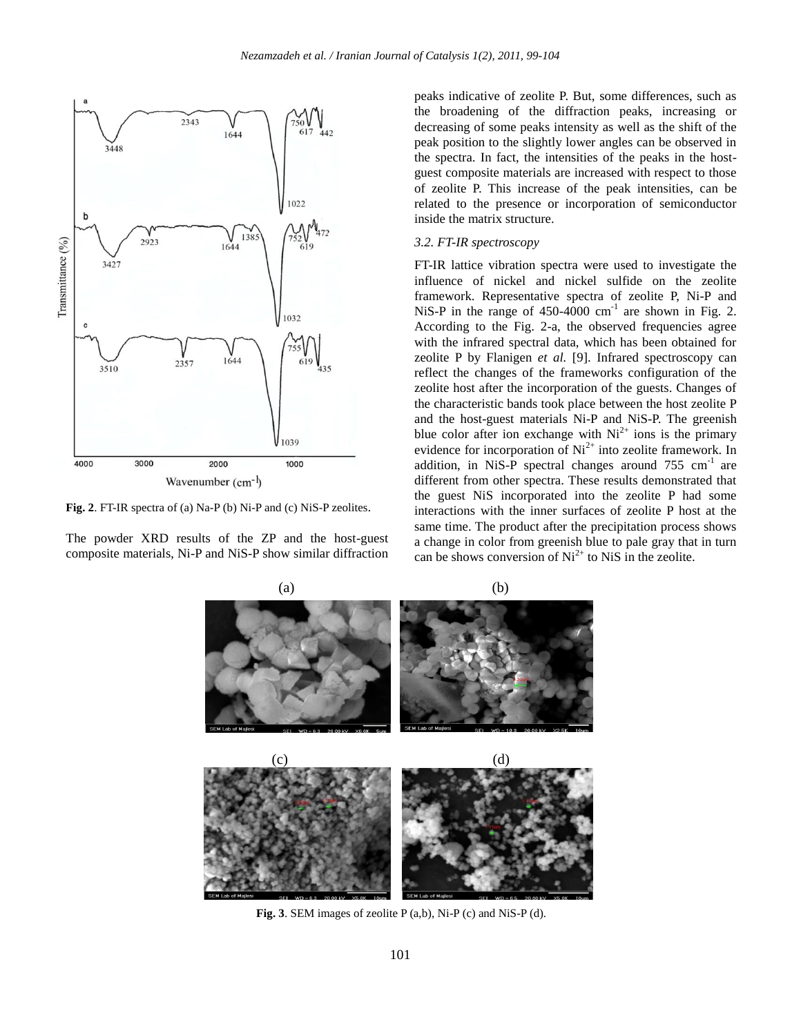

**Fig. 2**. FT-IR spectra of (a) Na-P (b) Ni-P and (c) NiS-P zeolites.

The powder XRD results of the ZP and the host-guest composite materials, Ni-P and NiS-P show similar diffraction peaks indicative of zeolite P. But, some differences, such as the broadening of the diffraction peaks, increasing or decreasing of some peaks intensity as well as the shift of the peak position to the slightly lower angles can be observed in the spectra. In fact, the intensities of the peaks in the hostguest composite materials are increased with respect to those of zeolite P. This increase of the peak intensities, can be related to the presence or incorporation of semiconductor inside the matrix structure.

## *3.2. FT-IR spectroscopy*

FT-IR lattice vibration spectra were used to investigate the influence of nickel and nickel sulfide on the zeolite framework. Representative spectra of zeolite P, Ni-P and NiS-P in the range of  $450-4000$  cm<sup>-1</sup> are shown in Fig. 2. According to the Fig. 2-a, the observed frequencies agree with the infrared spectral data, which has been obtained for zeolite P by Flanigen *et al.* [9]. Infrared spectroscopy can reflect the changes of the frameworks configuration of the zeolite host after the incorporation of the guests. Changes of the characteristic bands took place between the host zeolite P and the host-guest materials Ni-P and NiS-P. The greenish blue color after ion exchange with  $Ni<sup>2+</sup>$  ions is the primary evidence for incorporation of  $Ni^{2+}$  into zeolite framework. In addition, in NiS-P spectral changes around  $755 \text{ cm}^{-1}$  are different from other spectra. These results demonstrated that the guest NiS incorporated into the zeolite P had some interactions with the inner surfaces of zeolite P host at the same time. The product after the precipitation process shows a change in color from greenish blue to pale gray that in turn can be shows conversion of  $Ni^{2+}$  to NiS in the zeolite.



**Fig. 3**. SEM images of zeolite P (a,b), Ni-P (c) and NiS-P (d).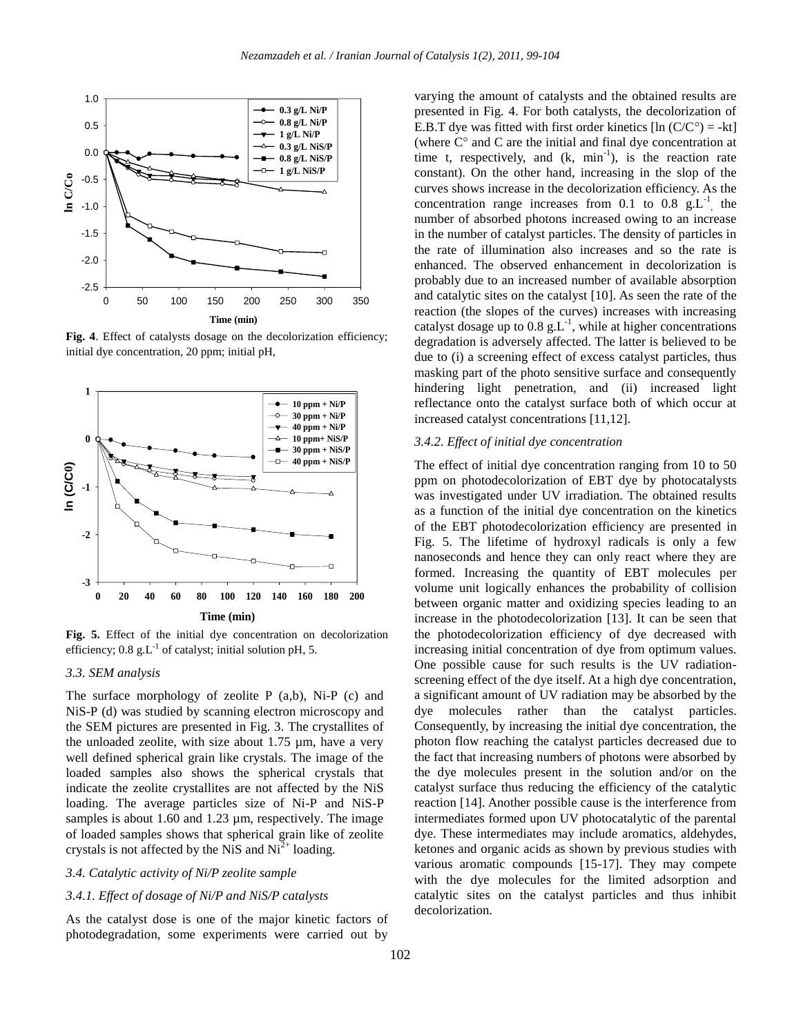

Fig. 4. Effect of catalysts dosage on the decolorization efficiency; initial dye concentration, 20 ppm; initial pH,



**Fig. 5.** Effect of the initial dye concentration on decolorization efficiency;  $0.8 \text{ g.L}^{-1}$  of catalyst; initial solution pH, 5.

#### *3.3. SEM analysis*

The surface morphology of zeolite  $P$  (a,b), Ni-P (c) and NiS-P (d) was studied by scanning electron microscopy and the SEM pictures are presented in Fig. 3. The crystallites of the unloaded zeolite, with size about 1.75 µm, have a very well defined spherical grain like crystals. The image of the loaded samples also shows the spherical crystals that indicate the zeolite crystallites are not affected by the NiS loading. The average particles size of Ni-P and NiS-P samples is about 1.60 and 1.23  $\mu$ m, respectively. The image of loaded samples shows that spherical grain like of zeolite crystals is not affected by the NiS and  $Ni^{2+}$  loading.

### *3.4. Catalytic activity of Ni/P zeolite sample*

#### *3.4.1. Effect of dosage of Ni/P and NiS/P catalysts*

As the catalyst dose is one of the major kinetic factors of photodegradation, some experiments were carried out by varying the amount of catalysts and the obtained results are presented in Fig. 4. For both catalysts, the decolorization of E.B.T dye was fitted with first order kinetics  $[\ln (C/C^{\circ}) = -kt]$ (where  $C^{\circ}$  and C are the initial and final dye concentration at time t, respectively, and  $(k, min^{-1})$ , is the reaction rate constant). On the other hand, increasing in the slop of the curves shows increase in the decolorization efficiency. As the concentration range increases from 0.1 to 0.8  $g.L^{-1}$ , the number of absorbed photons increased owing to an increase in the number of catalyst particles. The density of particles in the rate of illumination also increases and so the rate is enhanced. The observed enhancement in decolorization is probably due to an increased number of available absorption and catalytic sites on the catalyst [10]. As seen the rate of the reaction (the slopes of the curves) increases with increasing catalyst dosage up to  $0.8$  g.L<sup>-1</sup>, while at higher concentrations degradation is adversely affected. The latter is believed to be due to (i) a screening effect of excess catalyst particles, thus masking part of the photo sensitive surface and consequently hindering light penetration, and (ii) increased light reflectance onto the catalyst surface both of which occur at increased catalyst concentrations [11,12].

#### *3.4.2. Effect of initial dye concentration*

The effect of initial dye concentration ranging from 10 to 50 ppm on photodecolorization of EBT dye by photocatalysts was investigated under UV irradiation. The obtained results as a function of the initial dye concentration on the kinetics of the EBT photodecolorization efficiency are presented in Fig. 5. The lifetime of hydroxyl radicals is only a few nanoseconds and hence they can only react where they are formed. Increasing the quantity of EBT molecules per volume unit logically enhances the probability of collision between organic matter and oxidizing species leading to an increase in the photodecolorization [13]. It can be seen that the photodecolorization efficiency of dye decreased with increasing initial concentration of dye from optimum values. One possible cause for such results is the UV radiationscreening effect of the dye itself. At a high dye concentration, a significant amount of UV radiation may be absorbed by the dye molecules rather than the catalyst particles. Consequently, by increasing the initial dye concentration, the photon flow reaching the catalyst particles decreased due to the fact that increasing numbers of photons were absorbed by the dye molecules present in the solution and/or on the catalyst surface thus reducing the efficiency of the catalytic reaction [14]. Another possible cause is the interference from intermediates formed upon UV photocatalytic of the parental dye. These intermediates may include aromatics, aldehydes, ketones and organic acids as shown by previous studies with various aromatic compounds [15-17]. They may compete with the dye molecules for the limited adsorption and catalytic sites on the catalyst particles and thus inhibit decolorization.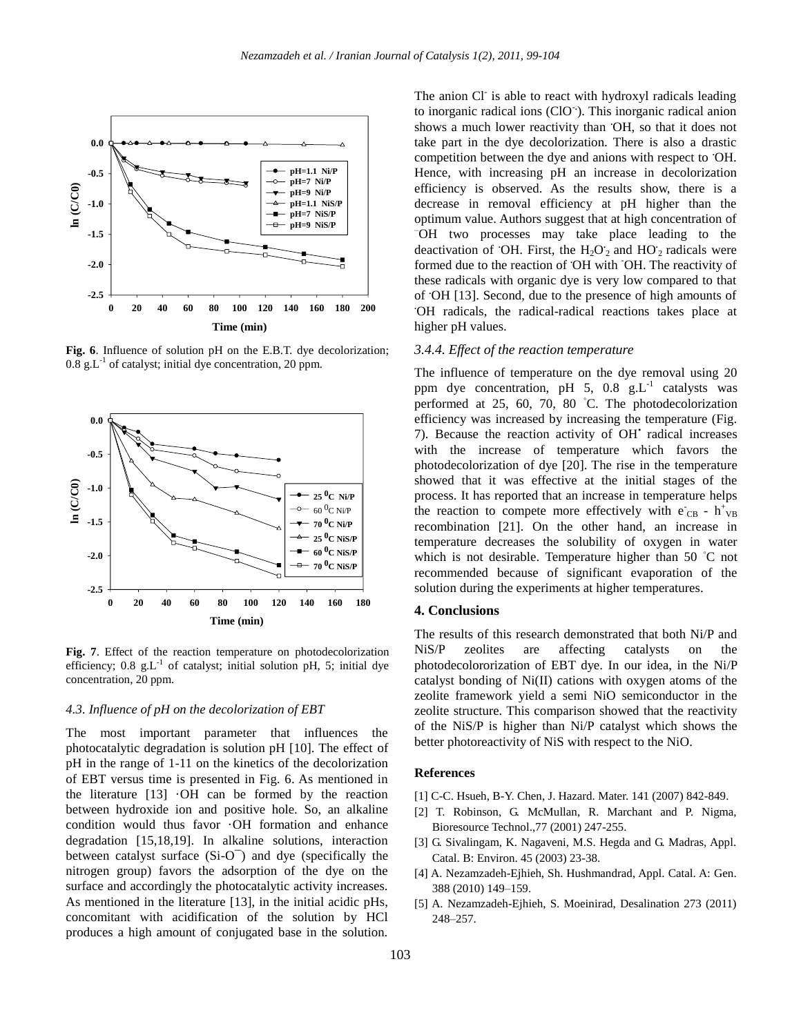

**Fig. 6**. Influence of solution pH on the E.B.T. dye decolorization;  $0.8 \text{ g.L}^{-1}$  of catalyst; initial dye concentration, 20 ppm.



**Fig. 7**. Effect of the reaction temperature on photodecolorization efficiency;  $0.8 \text{ g.L}^{-1}$  of catalyst; initial solution pH, 5; initial dye concentration, 20 ppm.

#### *4.3. Influence of pH on the decolorization of EBT*

The most important parameter that influences the photocatalytic degradation is solution pH [10]. The effect of pH in the range of 1-11 on the kinetics of the decolorization of EBT versus time is presented in Fig. 6. As mentioned in the literature [13] ·OH can be formed by the reaction between hydroxide ion and positive hole. So, an alkaline condition would thus favor ·OH formation and enhance degradation [15,18,19]. In alkaline solutions, interaction between catalyst surface (Si-O¯) and dye (specifically the nitrogen group) favors the adsorption of the dye on the surface and accordingly the photocatalytic activity increases. As mentioned in the literature [13], in the initial acidic pHs, concomitant with acidification of the solution by HCl produces a high amount of conjugated base in the solution.

The anion Cl is able to react with hydroxyl radicals leading to inorganic radical ions (ClO-**.** ). This inorganic radical anion shows a much lower reactivity than **.**OH, so that it does not take part in the dye decolorization. There is also a drastic competition between the dye and anions with respect to **.**OH. Hence, with increasing pH an increase in decolorization efficiency is observed. As the results show, there is a decrease in removal efficiency at pH higher than the optimum value. Authors suggest that at high concentration of –OH two processes may take place leading to the deactivation of 'OH. First, the  $H_2O_2$  and  $HO_2$  radicals were formed due to the reaction of  $\overline{OH}$  with  $\overline{OH}$ . The reactivity of these radicals with organic dye is very low compared to that of **.**OH [13]. Second, due to the presence of high amounts of **.**OH radicals, the radical-radical reactions takes place at higher pH values.

#### *3.4.4. Effect of the reaction temperature*

The influence of temperature on the dye removal using 20 ppm dye concentration, pH 5,  $0.8$   $g.L^{-1}$  catalysts was performed at 25, 60, 70, 80 ◦C. The photodecolorization efficiency was increased by increasing the temperature (Fig. 7). Because the reaction activity of OH<sup>+</sup> radical increases with the increase of temperature which favors the photodecolorization of dye [20]. The rise in the temperature showed that it was effective at the initial stages of the process. It has reported that an increase in temperature helps the reaction to compete more effectively with  $\vec{e}_{CB}$  -  $\vec{h}_{VB}^+$ recombination [21]. On the other hand, an increase in temperature decreases the solubility of oxygen in water which is not desirable. Temperature higher than 50 °C not recommended because of significant evaporation of the solution during the experiments at higher temperatures.

## **4. Conclusions**

The results of this research demonstrated that both Ni/P and NiS/P zeolites are affecting catalysts on the photodecolororization of EBT dye. In our idea, in the Ni/P catalyst bonding of Ni(II) cations with oxygen atoms of the zeolite framework yield a semi NiO semiconductor in the zeolite structure. This comparison showed that the reactivity of the NiS/P is higher than Ni/P catalyst which shows the better photoreactivity of NiS with respect to the NiO.

#### **References**

- [1] C-C. Hsueh, B-Y. Chen, J. Hazard. Mater. 141 (2007) 842-849.
- [2] T. Robinson, G. McMullan, R. Marchant and P. Nigma, Bioresource Technol.,77 (2001) 247-255.
- [3] G. Sivalingam, K. Nagaveni, M.S. Hegda and G. Madras, Appl. Catal. B: Environ. 45 (2003) 23-38.
- [4] A. Nezamzadeh-Ejhieh, Sh. Hushmandrad, Appl. Catal. A: Gen. 388 (2010) 149–159.
- [5] A. Nezamzadeh-Ejhieh, S. Moeinirad, Desalination 273 (2011) 248–257.